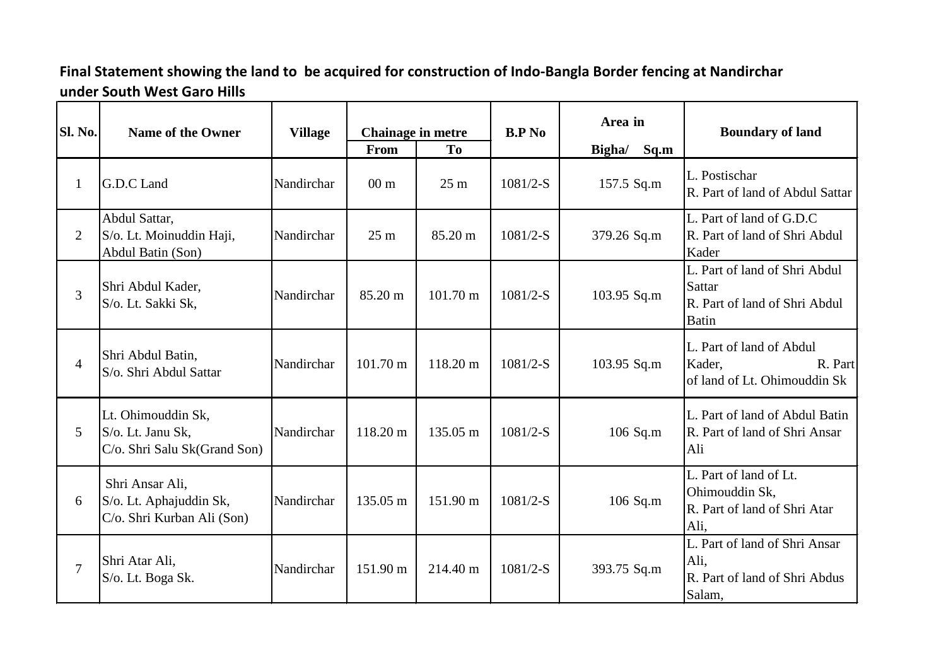## **Final Statement showing the land to be acquired for construction of Indo-Bangla Border fencing at Nandirchar under South West Garo Hills**

| Sl. No.        | <b>Name of the Owner</b>                                                 | <b>Village</b> | Chainage in metre<br>From | T <sub>0</sub>     | B.P N <sub>0</sub> | Area in<br>Sq.m<br>Bigha/ | <b>Boundary of land</b>                                                           |
|----------------|--------------------------------------------------------------------------|----------------|---------------------------|--------------------|--------------------|---------------------------|-----------------------------------------------------------------------------------|
| $\mathbf{1}$   | G.D.C Land                                                               | Nandirchar     | 00 <sub>m</sub>           | 25 <sub>m</sub>    | $1081/2-S$         | 157.5 Sq.m                | L. Postischar<br>R. Part of land of Abdul Sattar                                  |
| $\overline{2}$ | Abdul Sattar,<br>S/o. Lt. Moinuddin Haji,<br>Abdul Batin (Son)           | Nandirchar     | 25 <sub>m</sub>           | 85.20 m            | $1081/2-S$         | 379.26 Sq.m               | L. Part of land of G.D.C<br>R. Part of land of Shri Abdul<br>Kader                |
| 3              | Shri Abdul Kader,<br>S/o. Lt. Sakki Sk,                                  | Nandirchar     | 85.20 m                   | $101.70 \text{ m}$ | $1081/2-S$         | 103.95 Sq.m               | L. Part of land of Shri Abdul<br>Sattar<br>R. Part of land of Shri Abdul<br>Batin |
| $\overline{4}$ | Shri Abdul Batin,<br>S/o. Shri Abdul Sattar                              | Nandirchar     | 101.70 m                  | 118.20 m           | $1081/2-S$         | 103.95 Sq.m               | L. Part of land of Abdul<br>Kader,<br>R. Part<br>of land of Lt. Ohimouddin Sk     |
| 5              | Lt. Ohimouddin Sk,<br>S/o. Lt. Janu Sk,<br>C/o. Shri Salu Sk(Grand Son)  | Nandirchar     | 118.20 m                  | 135.05 m           | $1081/2-S$         | 106 Sq.m                  | L. Part of land of Abdul Batin<br>R. Part of land of Shri Ansar<br>Ali            |
| 6              | Shri Ansar Ali,<br>S/o. Lt. Aphajuddin Sk,<br>C/o. Shri Kurban Ali (Son) | Nandirchar     | 135.05 m                  | 151.90 m           | $1081/2-S$         | $106$ Sq.m                | L. Part of land of Lt.<br>Ohimouddin Sk,<br>R. Part of land of Shri Atar<br>Ali.  |
| $\overline{7}$ | Shri Atar Ali,<br>S/o. Lt. Boga Sk.                                      | Nandirchar     | 151.90 m                  | 214.40 m           | $1081/2-S$         | 393.75 Sq.m               | L. Part of land of Shri Ansar<br>Ali.<br>R. Part of land of Shri Abdus<br>Salam,  |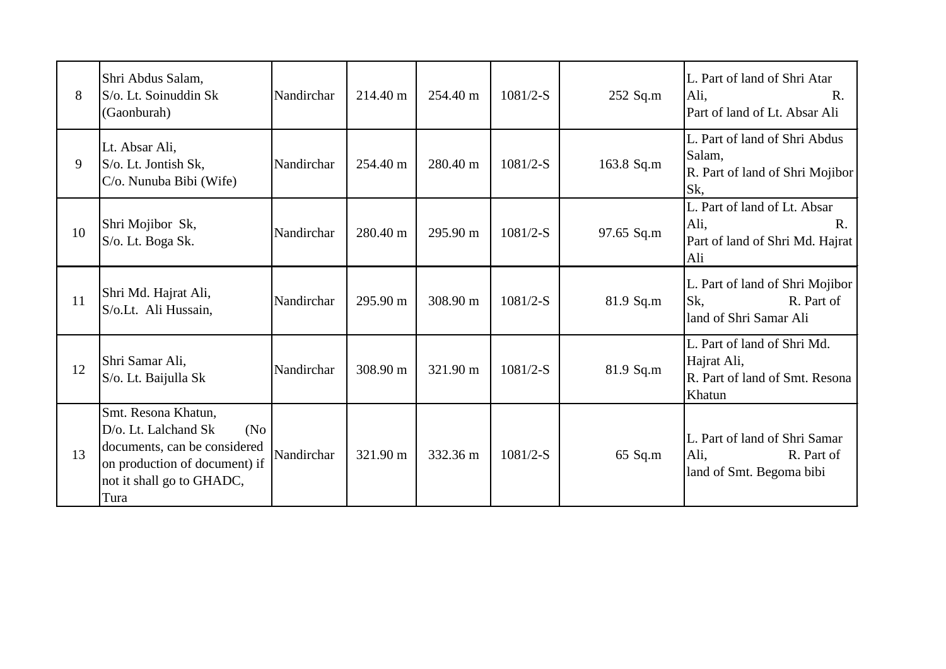| 8  | Shri Abdus Salam,<br>S/o. Lt. Soinuddin Sk<br>(Gaonburah)                                                                                                              | Nandirchar | 214.40 m | 254.40 m | $1081/2-S$ | 252 Sq.m   | L. Part of land of Shri Atar<br>Ali,<br>R.<br>Part of land of Lt. Absar Ali            |
|----|------------------------------------------------------------------------------------------------------------------------------------------------------------------------|------------|----------|----------|------------|------------|----------------------------------------------------------------------------------------|
| 9  | Lt. Absar Ali,<br>S/o. Lt. Jontish Sk,<br>C/o. Nunuba Bibi (Wife)                                                                                                      | Nandirchar | 254.40 m | 280.40 m | $1081/2-S$ | 163.8 Sq.m | L. Part of land of Shri Abdus<br>Salam,<br>R. Part of land of Shri Mojibor<br>Sk,      |
| 10 | Shri Mojibor Sk,<br>S/o. Lt. Boga Sk.                                                                                                                                  | Nandirchar | 280.40 m | 295.90 m | $1081/2-S$ | 97.65 Sq.m | L. Part of land of Lt. Absar<br>Ali.<br>R.<br>Part of land of Shri Md. Hajrat<br>Ali   |
| 11 | Shri Md. Hajrat Ali,<br>S/o.Lt. Ali Hussain,                                                                                                                           | Nandirchar | 295.90 m | 308.90 m | $1081/2-S$ | 81.9 Sq.m  | L. Part of land of Shri Mojibor<br>Sk.<br>R. Part of<br>land of Shri Samar Ali         |
| 12 | Shri Samar Ali,<br>S/o. Lt. Baijulla Sk                                                                                                                                | Nandirchar | 308.90 m | 321.90 m | $1081/2-S$ | 81.9 Sq.m  | L. Part of land of Shri Md.<br>Hajrat Ali,<br>R. Part of land of Smt. Resona<br>Khatun |
| 13 | Smt. Resona Khatun,<br>D/o. Lt. Lalchand Sk<br>(N <sub>0</sub> )<br>documents, can be considered<br>on production of document) if<br>not it shall go to GHADC,<br>Tura | Nandirchar | 321.90 m | 332.36 m | $1081/2-S$ | 65 Sq.m    | L. Part of land of Shri Samar<br>Ali,<br>R. Part of<br>land of Smt. Begoma bibi        |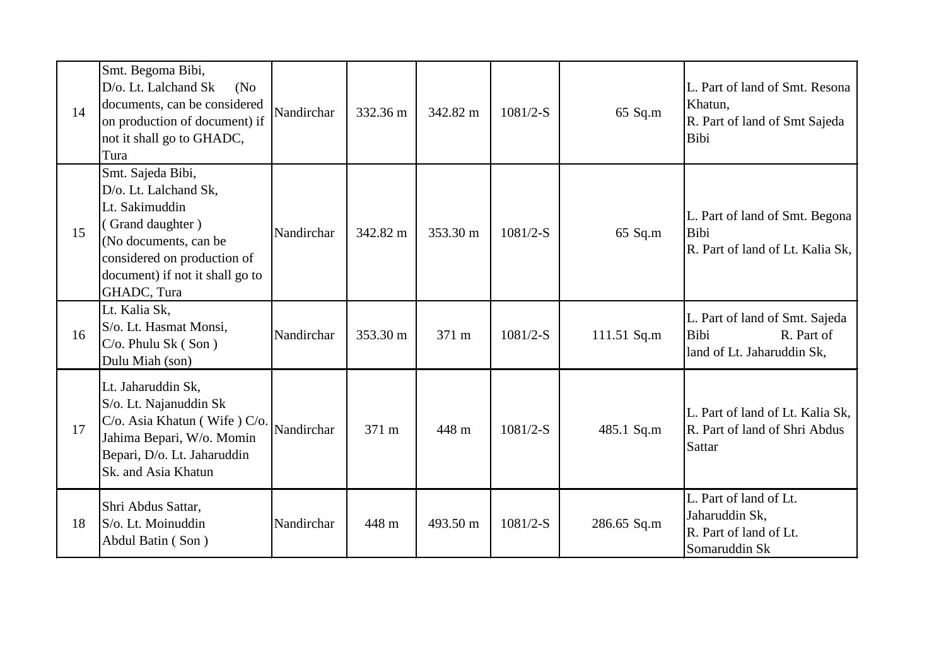| 14 | Smt. Begoma Bibi,<br>D/o. Lt. Lalchand Sk<br>(N <sub>0</sub> )<br>documents, can be considered<br>on production of document) if<br>not it shall go to GHADC,<br>Tura                      | Nandirchar | 332.36 m | 342.82 m | $1081/2-S$ | 65 Sq.m     | L. Part of land of Smt. Resona<br>Khatun,<br>R. Part of land of Smt Sajeda<br>Bibi        |
|----|-------------------------------------------------------------------------------------------------------------------------------------------------------------------------------------------|------------|----------|----------|------------|-------------|-------------------------------------------------------------------------------------------|
| 15 | Smt. Sajeda Bibi,<br>D/o. Lt. Lalchand Sk,<br>Lt. Sakimuddin<br>Grand daughter)<br>(No documents, can be<br>considered on production of<br>document) if not it shall go to<br>GHADC, Tura | Nandirchar | 342.82 m | 353.30 m | $1081/2-S$ | 65 Sq.m     | L. Part of land of Smt. Begona<br><b>Bibi</b><br>R. Part of land of Lt. Kalia Sk,         |
| 16 | Lt. Kalia Sk,<br>S/o. Lt. Hasmat Monsi,<br>$C$ /o. Phulu Sk (Son)<br>Dulu Miah (son)                                                                                                      | Nandirchar | 353.30 m | 371 m    | $1081/2-S$ | 111.51 Sq.m | L. Part of land of Smt. Sajeda<br>R. Part of<br><b>Bibi</b><br>land of Lt. Jaharuddin Sk, |
| 17 | Lt. Jaharuddin Sk,<br>S/o. Lt. Najanuddin Sk<br>C/o. Asia Khatun (Wife ) C/o.<br>Jahima Bepari, W/o. Momin<br>Bepari, D/o. Lt. Jaharuddin<br>Sk. and Asia Khatun                          | Nandirchar | 371 m    | 448 m    | $1081/2-S$ | 485.1 Sq.m  | L. Part of land of Lt. Kalia Sk,<br>R. Part of land of Shri Abdus<br>Sattar               |
| 18 | Shri Abdus Sattar,<br>S/o. Lt. Moinuddin<br>Abdul Batin (Son)                                                                                                                             | Nandirchar | 448 m    | 493.50 m | $1081/2-S$ | 286.65 Sq.m | L. Part of land of Lt.<br>Jaharuddin Sk,<br>R. Part of land of Lt.<br>Somaruddin Sk       |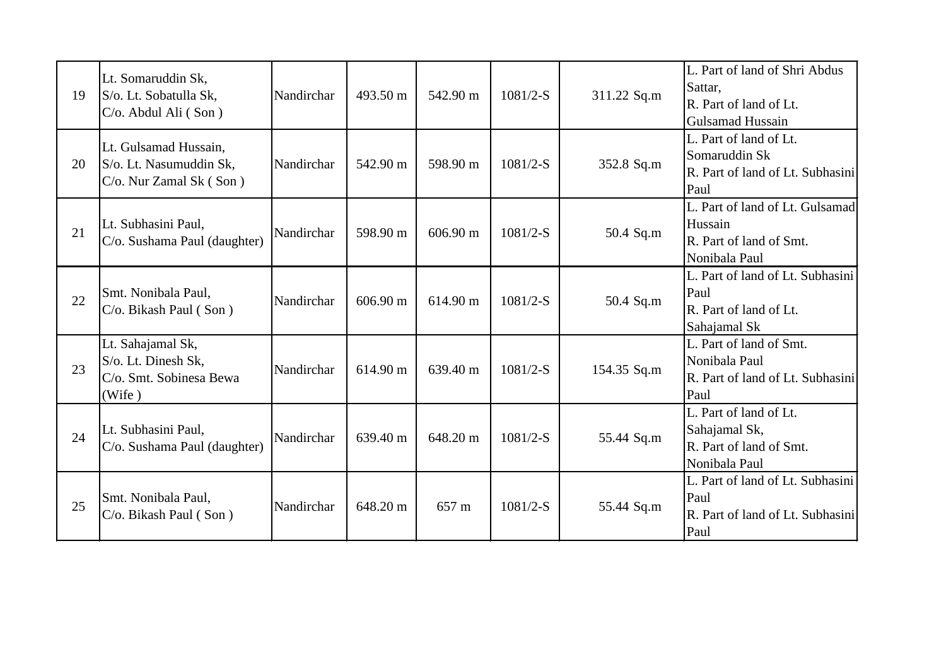| 19 | Lt. Somaruddin Sk,<br>S/o. Lt. Sobatulla Sk,<br>$C/O$ . Abdul Ali (Son)       | Nandirchar | 493.50 m | 542.90 m | $1081/2-S$ | 311.22 Sq.m | L. Part of land of Shri Abdus<br>Sattar,<br>R. Part of land of Lt.<br>Gulsamad Hussain |
|----|-------------------------------------------------------------------------------|------------|----------|----------|------------|-------------|----------------------------------------------------------------------------------------|
| 20 | Lt. Gulsamad Hussain,<br>S/o. Lt. Nasumuddin Sk,<br>C/o. Nur Zamal Sk (Son)   | Nandirchar | 542.90 m | 598.90 m | $1081/2-S$ | 352.8 Sq.m  | L. Part of land of Lt.<br>Somaruddin Sk<br>R. Part of land of Lt. Subhasini<br>Paul    |
| 21 | Lt. Subhasini Paul,<br>C/o. Sushama Paul (daughter)                           | Nandirchar | 598.90 m | 606.90 m | $1081/2-S$ | 50.4 Sq.m   | L. Part of land of Lt. Gulsamad<br>Hussain<br>R. Part of land of Smt.<br>Nonibala Paul |
| 22 | Smt. Nonibala Paul,<br>C/o. Bikash Paul (Son)                                 | Nandirchar | 606.90 m | 614.90 m | $1081/2-S$ | 50.4 Sq.m   | L. Part of land of Lt. Subhasini<br>Paul<br>R. Part of land of Lt.<br>Sahajamal Sk     |
| 23 | Lt. Sahajamal Sk,<br>S/o. Lt. Dinesh Sk,<br>C/o. Smt. Sobinesa Bewa<br>(Wife) | Nandirchar | 614.90 m | 639.40 m | $1081/2-S$ | 154.35 Sq.m | L. Part of land of Smt.<br>Nonibala Paul<br>R. Part of land of Lt. Subhasini<br>Paul   |
| 24 | Lt. Subhasini Paul,<br>C/o. Sushama Paul (daughter)                           | Nandirchar | 639.40 m | 648.20 m | $1081/2-S$ | 55.44 Sq.m  | L. Part of land of Lt.<br>Sahajamal Sk,<br>R. Part of land of Smt.<br>Nonibala Paul    |
| 25 | Smt. Nonibala Paul,<br>C/o. Bikash Paul (Son)                                 | Nandirchar | 648.20 m | 657 m    | $1081/2-S$ | 55.44 Sq.m  | L. Part of land of Lt. Subhasini<br>Paul<br>R. Part of land of Lt. Subhasini<br>Paul   |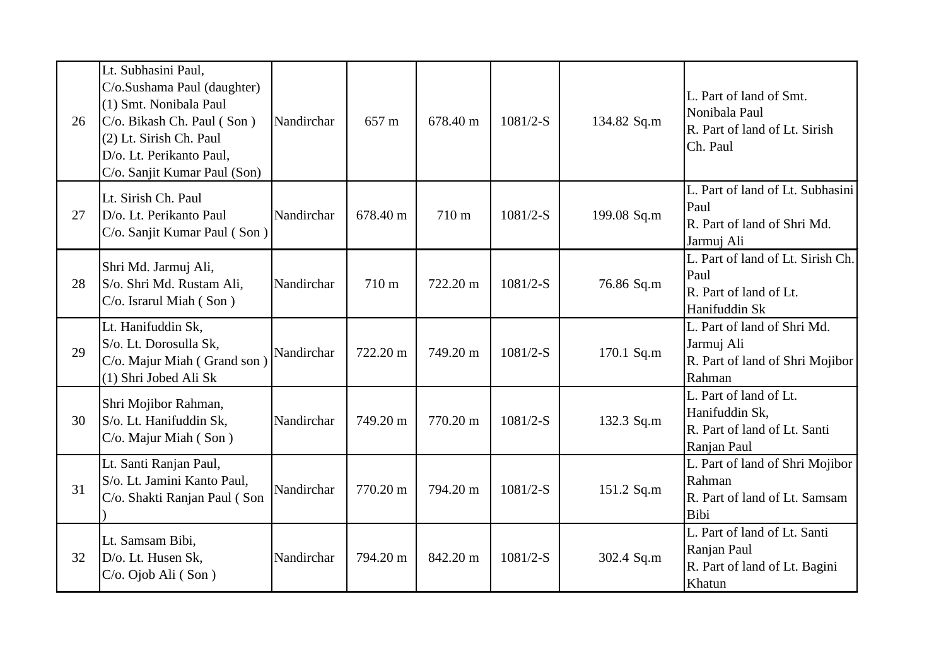| 26 | Lt. Subhasini Paul,<br>C/o.Sushama Paul (daughter)<br>(1) Smt. Nonibala Paul<br>C/o. Bikash Ch. Paul (Son)<br>(2) Lt. Sirish Ch. Paul<br>D/o. Lt. Perikanto Paul,<br>C/o. Sanjit Kumar Paul (Son) | Nandirchar | 657 m    | 678.40 m | $1081/2-S$ | 134.82 Sq.m | L. Part of land of Smt.<br>Nonibala Paul<br>R. Part of land of Lt. Sirish<br>Ch. Paul   |
|----|---------------------------------------------------------------------------------------------------------------------------------------------------------------------------------------------------|------------|----------|----------|------------|-------------|-----------------------------------------------------------------------------------------|
| 27 | Lt. Sirish Ch. Paul<br>D/o. Lt. Perikanto Paul<br>C/o. Sanjit Kumar Paul (Son)                                                                                                                    | Nandirchar | 678.40 m | 710 m    | $1081/2-S$ | 199.08 Sq.m | L. Part of land of Lt. Subhasini<br>Paul<br>R. Part of land of Shri Md.<br>Jarmuj Ali   |
| 28 | Shri Md. Jarmuj Ali,<br>S/o. Shri Md. Rustam Ali,<br>C/o. Israrul Miah (Son)                                                                                                                      | Nandirchar | 710 m    | 722.20 m | $1081/2-S$ | 76.86 Sq.m  | L. Part of land of Lt. Sirish Ch.<br>Paul<br>R. Part of land of Lt.<br>Hanifuddin Sk    |
| 29 | Lt. Hanifuddin Sk,<br>S/o. Lt. Dorosulla Sk,<br>C/o. Majur Miah (Grand son)<br>(1) Shri Jobed Ali Sk                                                                                              | Nandirchar | 722.20 m | 749.20 m | $1081/2-S$ | 170.1 Sq.m  | L. Part of land of Shri Md.<br>Jarmuj Ali<br>R. Part of land of Shri Mojibor<br>Rahman  |
| 30 | Shri Mojibor Rahman,<br>S/o. Lt. Hanifuddin Sk,<br>C/o. Majur Miah (Son)                                                                                                                          | Nandirchar | 749.20 m | 770.20 m | $1081/2-S$ | 132.3 Sq.m  | L. Part of land of Lt.<br>Hanifuddin Sk,<br>R. Part of land of Lt. Santi<br>Ranjan Paul |
| 31 | Lt. Santi Ranjan Paul,<br>S/o. Lt. Jamini Kanto Paul,<br>C/o. Shakti Ranjan Paul (Son                                                                                                             | Nandirchar | 770.20 m | 794.20 m | $1081/2-S$ | 151.2 Sq.m  | L. Part of land of Shri Mojibor<br>Rahman<br>R. Part of land of Lt. Samsam<br>Bibi      |
| 32 | Lt. Samsam Bibi,<br>D/o. Lt. Husen Sk,<br>$C/O$ . Ojob Ali (Son)                                                                                                                                  | Nandirchar | 794.20 m | 842.20 m | $1081/2-S$ | 302.4 Sq.m  | L. Part of land of Lt. Santi<br>Ranjan Paul<br>R. Part of land of Lt. Bagini<br>Khatun  |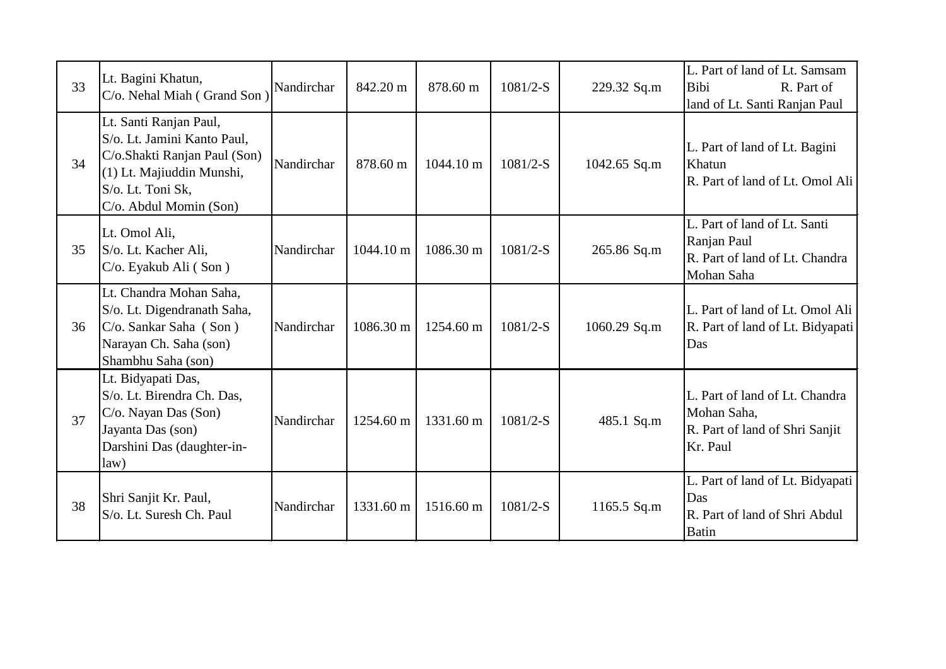| 33 | Lt. Bagini Khatun,<br>C/o. Nehal Miah (Grand Son)                                                                                                                 | Nandirchar | 842.20 m            | 878.60 m  | $1081/2-S$ | 229.32 Sq.m  | L. Part of land of Lt. Samsam<br><b>Bibi</b><br>R. Part of<br>land of Lt. Santi Ranjan Paul |
|----|-------------------------------------------------------------------------------------------------------------------------------------------------------------------|------------|---------------------|-----------|------------|--------------|---------------------------------------------------------------------------------------------|
| 34 | Lt. Santi Ranjan Paul,<br>S/o. Lt. Jamini Kanto Paul,<br>C/o.Shakti Ranjan Paul (Son)<br>(1) Lt. Majiuddin Munshi,<br>S/o. Lt. Toni Sk,<br>C/o. Abdul Momin (Son) | Nandirchar | 878.60 m            | 1044.10 m | $1081/2-S$ | 1042.65 Sq.m | L. Part of land of Lt. Bagini<br>Khatun<br>R. Part of land of Lt. Omol Ali                  |
| 35 | Lt. Omol Ali,<br>S/o. Lt. Kacher Ali,<br>C/o. Eyakub Ali (Son)                                                                                                    | Nandirchar | $1044.10 \text{ m}$ | 1086.30 m | $1081/2-S$ | 265.86 Sq.m  | L. Part of land of Lt. Santi<br>Ranjan Paul<br>R. Part of land of Lt. Chandra<br>Mohan Saha |
| 36 | Lt. Chandra Mohan Saha,<br>S/o. Lt. Digendranath Saha,<br>C/o. Sankar Saha (Son)<br>Narayan Ch. Saha (son)<br>Shambhu Saha (son)                                  | Nandirchar | 1086.30 m           | 1254.60 m | $1081/2-S$ | 1060.29 Sq.m | L. Part of land of Lt. Omol Ali<br>R. Part of land of Lt. Bidyapati<br>Das                  |
| 37 | Lt. Bidyapati Das,<br>S/o. Lt. Birendra Ch. Das,<br>C/o. Nayan Das (Son)<br>Jayanta Das (son)<br>Darshini Das (daughter-in-<br>law)                               | Nandirchar | 1254.60 m           | 1331.60 m | $1081/2-S$ | 485.1 Sq.m   | L. Part of land of Lt. Chandra<br>Mohan Saha,<br>R. Part of land of Shri Sanjit<br>Kr. Paul |
| 38 | Shri Sanjit Kr. Paul,<br>S/o. Lt. Suresh Ch. Paul                                                                                                                 | Nandirchar | 1331.60 m           | 1516.60 m | $1081/2-S$ | 1165.5 Sq.m  | L. Part of land of Lt. Bidyapati<br>Das<br>R. Part of land of Shri Abdul<br>Batin           |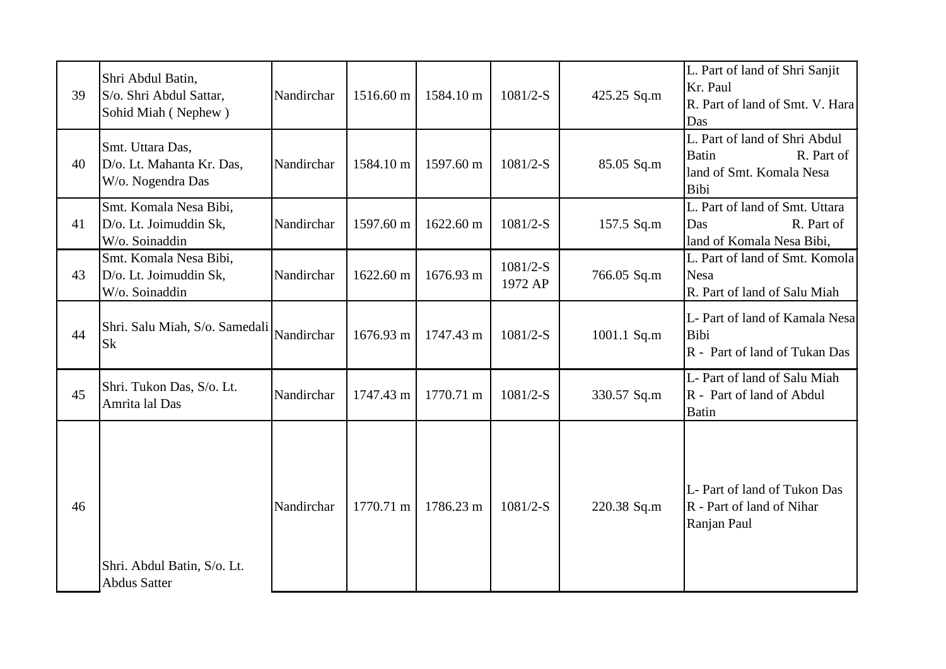| 39 | Shri Abdul Batin,<br>S/o. Shri Abdul Sattar,<br>Sohid Miah (Nephew) | Nandirchar | 1516.60 m | 1584.10 m | $1081/2-S$            | 425.25 Sq.m | L. Part of land of Shri Sanjit<br>Kr. Paul<br>R. Part of land of Smt. V. Hara<br>Das            |
|----|---------------------------------------------------------------------|------------|-----------|-----------|-----------------------|-------------|-------------------------------------------------------------------------------------------------|
| 40 | Smt. Uttara Das,<br>D/o. Lt. Mahanta Kr. Das,<br>W/o. Nogendra Das  | Nandirchar | 1584.10 m | 1597.60 m | $1081/2-S$            | 85.05 Sq.m  | L. Part of land of Shri Abdul<br>R. Part of<br><b>Batin</b><br>land of Smt. Komala Nesa<br>Bibi |
| 41 | Smt. Komala Nesa Bibi,<br>D/o. Lt. Joimuddin Sk,<br>W/o. Soinaddin  | Nandirchar | 1597.60 m | 1622.60 m | $1081/2-S$            | 157.5 Sq.m  | L. Part of land of Smt. Uttara<br>R. Part of<br>Das<br>land of Komala Nesa Bibi,                |
| 43 | Smt. Komala Nesa Bibi,<br>D/o. Lt. Joimuddin Sk,<br>W/o. Soinaddin  | Nandirchar | 1622.60 m | 1676.93 m | $1081/2-S$<br>1972 AP | 766.05 Sq.m | L. Part of land of Smt. Komola<br>Nesa<br>R. Part of land of Salu Miah                          |
| 44 | Shri. Salu Miah, S/o. Samedali<br><b>Sk</b>                         | Nandirchar | 1676.93 m | 1747.43 m | $1081/2-S$            | 1001.1 Sq.m | L- Part of land of Kamala Nesa<br>Bibi<br>R - Part of land of Tukan Das                         |
| 45 | Shri. Tukon Das, S/o. Lt.<br>Amrita lal Das                         | Nandirchar | 1747.43 m | 1770.71 m | $1081/2-S$            | 330.57 Sq.m | L- Part of land of Salu Miah<br>R - Part of land of Abdul<br><b>Batin</b>                       |
| 46 | Shri. Abdul Batin, S/o. Lt.<br><b>Abdus Satter</b>                  | Nandirchar | 1770.71 m | 1786.23 m | $1081/2-S$            | 220.38 Sq.m | L- Part of land of Tukon Das<br>R - Part of land of Nihar<br>Ranjan Paul                        |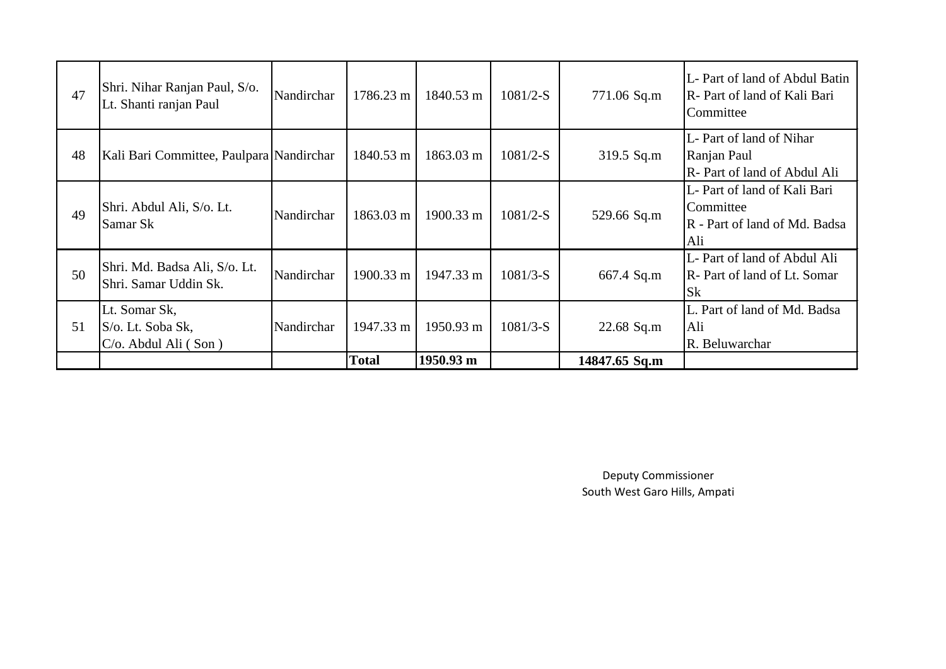| 47 | Shri. Nihar Ranjan Paul, S/o.<br>Lt. Shanti ranjan Paul       | Nandirchar | 1786.23 m    | 1840.53 m | $1081/2-S$ | 771.06 Sq.m   | L- Part of land of Abdul Batin<br>R- Part of land of Kali Bari<br>Committee       |
|----|---------------------------------------------------------------|------------|--------------|-----------|------------|---------------|-----------------------------------------------------------------------------------|
| 48 | Kali Bari Committee, Paulpara Nandirchar                      |            | 1840.53 m    | 1863.03 m | $1081/2-S$ | 319.5 Sq.m    | L- Part of land of Nihar<br>Ranjan Paul<br>R- Part of land of Abdul Ali           |
| 49 | Shri. Abdul Ali, S/o. Lt.<br>Samar Sk                         | Nandirchar | 1863.03 m    | 1900.33 m | $1081/2-S$ | 529.66 Sq.m   | L- Part of land of Kali Bari<br>Committee<br>R - Part of land of Md. Badsa<br>Ali |
| 50 | Shri. Md. Badsa Ali, S/o. Lt.<br>Shri. Samar Uddin Sk.        | Nandirchar | 1900.33 m    | 1947.33 m | $1081/3-S$ | 667.4 Sq.m    | L- Part of land of Abdul Ali<br>R- Part of land of Lt. Somar<br><b>Sk</b>         |
| 51 | Lt. Somar Sk,<br>S/o. Lt. Soba Sk,<br>$C/O$ . Abdul Ali (Son) | Nandirchar | 1947.33 m    | 1950.93 m | $1081/3-S$ | 22.68 Sq.m    | L. Part of land of Md. Badsa<br>Ali<br>R. Beluwarchar                             |
|    |                                                               |            | <b>Total</b> | 1950.93 m |            | 14847.65 Sq.m |                                                                                   |

Deputy Commissioner South West Garo Hills, Ampati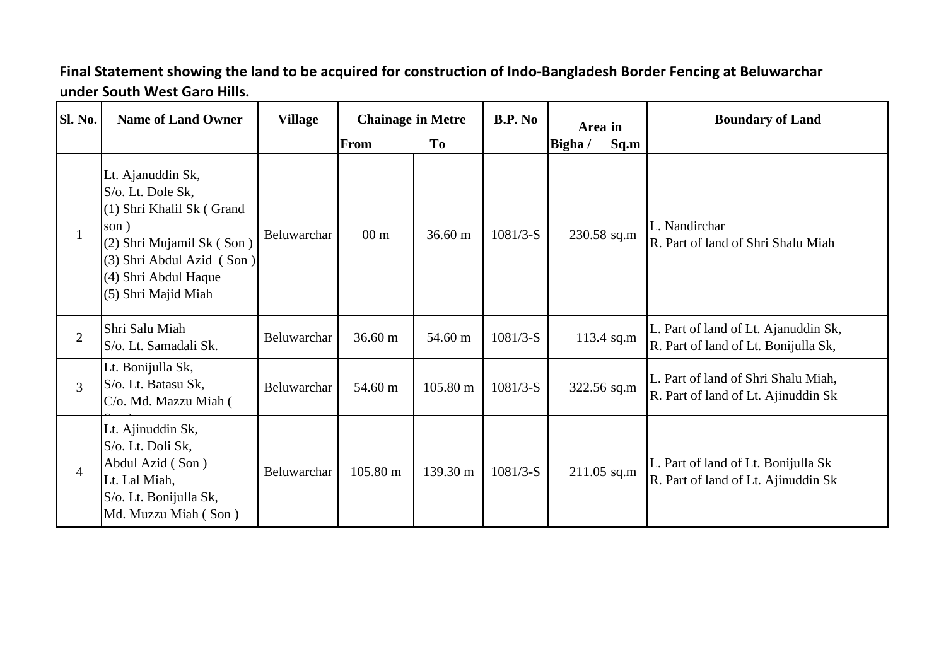## **Final Statement showing the land to be acquired for construction of Indo-Bangladesh Border Fencing at Beluwarchar under South West Garo Hills.**

| Sl. No.        | <b>Name of Land Owner</b>                                                                                                                                                                  | <b>Village</b> |                   | <b>Chainage in Metre</b> |            | Area in         | <b>Boundary of Land</b>                                                      |
|----------------|--------------------------------------------------------------------------------------------------------------------------------------------------------------------------------------------|----------------|-------------------|--------------------------|------------|-----------------|------------------------------------------------------------------------------|
|                |                                                                                                                                                                                            |                | From              | To                       |            | Bigha /<br>Sq.m |                                                                              |
|                | Lt. Ajanuddin Sk,<br>S/o. Lt. Dole Sk,<br>$(1)$ Shri Khalil Sk (Grand<br>son)<br>(2) Shri Mujamil Sk (Son)<br>$(3)$ Shri Abdul Azid $(Son)$<br>(4) Shri Abdul Haque<br>(5) Shri Majid Miah | Beluwarchar    | 00 <sub>m</sub>   | $36.60 \text{ m}$        | $1081/3-S$ | 230.58 sq.m     | L. Nandirchar<br>R. Part of land of Shri Shalu Miah                          |
| $\overline{2}$ | Shri Salu Miah<br>S/o. Lt. Samadali Sk.                                                                                                                                                    | Beluwarchar    | $36.60 \text{ m}$ | 54.60 m                  | $1081/3-S$ | 113.4 sq.m      | L. Part of land of Lt. Ajanuddin Sk,<br>R. Part of land of Lt. Bonijulla Sk, |
| $\overline{3}$ | Lt. Bonijulla Sk,<br>S/o. Lt. Batasu Sk,<br>C/o. Md. Mazzu Miah (                                                                                                                          | Beluwarchar    | 54.60 m           | $105.80 \text{ m}$       | $1081/3-S$ | 322.56 sq.m     | L. Part of land of Shri Shalu Miah,<br>R. Part of land of Lt. Ajinuddin Sk   |
| $\overline{4}$ | Lt. Ajinuddin Sk,<br>S/o. Lt. Doli Sk,<br>Abdul Azid (Son)<br>Lt. Lal Miah,<br>S/o. Lt. Bonijulla Sk,<br>Md. Muzzu Miah (Son)                                                              | Beluwarchar    | 105.80 m          | 139.30 m                 | $1081/3-S$ | 211.05 sq.m     | L. Part of land of Lt. Bonijulla Sk<br>R. Part of land of Lt. Ajinuddin Sk   |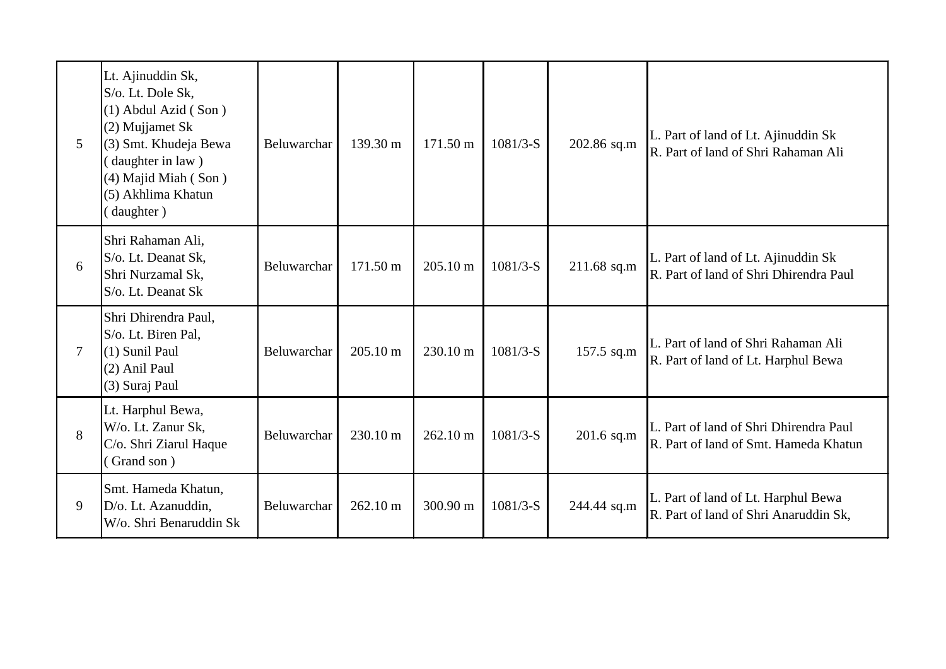| 5      | Lt. Ajinuddin Sk,<br>S/o. Lt. Dole Sk,<br>(1) Abdul Azid (Son)<br>(2) Mujjamet Sk<br>(3) Smt. Khudeja Bewa<br>daughter in law)<br>(4) Majid Miah (Son)<br>(5) Akhlima Khatun<br>daughter) | Beluwarchar | 139.30 m           | 171.50 m           | $1081/3-S$ | 202.86 sq.m | L. Part of land of Lt. Ajinuddin Sk<br>R. Part of land of Shri Rahaman Ali      |
|--------|-------------------------------------------------------------------------------------------------------------------------------------------------------------------------------------------|-------------|--------------------|--------------------|------------|-------------|---------------------------------------------------------------------------------|
| 6      | Shri Rahaman Ali,<br>S/o. Lt. Deanat Sk,<br>Shri Nurzamal Sk,<br>S/o. Lt. Deanat Sk                                                                                                       | Beluwarchar | 171.50 m           | $205.10 \text{ m}$ | $1081/3-S$ | 211.68 sq.m | L. Part of land of Lt. Ajinuddin Sk<br>R. Part of land of Shri Dhirendra Paul   |
| $\tau$ | Shri Dhirendra Paul,<br>S/o. Lt. Biren Pal,<br>(1) Sunil Paul<br>(2) Anil Paul<br>(3) Suraj Paul                                                                                          | Beluwarchar | $205.10 \text{ m}$ | 230.10 m           | $1081/3-S$ | 157.5 sq.m  | L. Part of land of Shri Rahaman Ali<br>R. Part of land of Lt. Harphul Bewa      |
| 8      | Lt. Harphul Bewa,<br>W/o. Lt. Zanur Sk,<br>C/o. Shri Ziarul Haque<br>Grand son)                                                                                                           | Beluwarchar | 230.10 m           | 262.10 m           | $1081/3-S$ | 201.6 sq.m  | L. Part of land of Shri Dhirendra Paul<br>R. Part of land of Smt. Hameda Khatun |
| 9      | Smt. Hameda Khatun,<br>D/o. Lt. Azanuddin,<br>W/o. Shri Benaruddin Sk                                                                                                                     | Beluwarchar | $262.10 \text{ m}$ | 300.90 m           | $1081/3-S$ | 244.44 sq.m | L. Part of land of Lt. Harphul Bewa<br>R. Part of land of Shri Anaruddin Sk,    |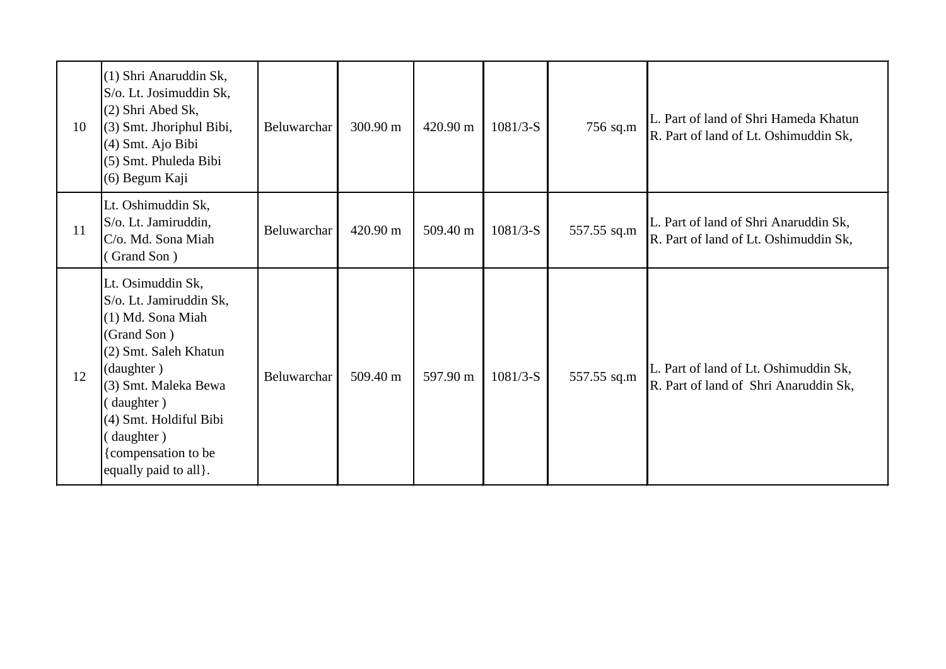| 10 | (1) Shri Anaruddin Sk,<br>S/o. Lt. Josimuddin Sk,<br>(2) Shri Abed Sk,<br>(3) Smt. Jhoriphul Bibi,<br>(4) Smt. Ajo Bibi<br>(5) Smt. Phuleda Bibi<br>(6) Begum Kaji                                                                                   | Beluwarchar | 300.90 m | 420.90 m | $1081/3-S$ | 756 sq.m    | L. Part of land of Shri Hameda Khatun<br>R. Part of land of Lt. Oshimuddin Sk, |
|----|------------------------------------------------------------------------------------------------------------------------------------------------------------------------------------------------------------------------------------------------------|-------------|----------|----------|------------|-------------|--------------------------------------------------------------------------------|
| 11 | Lt. Oshimuddin Sk,<br>S/o. Lt. Jamiruddin,<br>C/o. Md. Sona Miah<br>Grand Son)                                                                                                                                                                       | Beluwarchar | 420.90 m | 509.40 m | $1081/3-S$ | 557.55 sq.m | L. Part of land of Shri Anaruddin Sk,<br>R. Part of land of Lt. Oshimuddin Sk, |
| 12 | Lt. Osimuddin Sk,<br>S/o. Lt. Jamiruddin Sk,<br>(1) Md. Sona Miah<br>(Grand Son)<br>(2) Smt. Saleh Khatun<br>(daughter)<br>(3) Smt. Maleka Bewa<br>daughter)<br>(4) Smt. Holdiful Bibi<br>(daughter)<br>{compensation to be<br>equally paid to all}. | Beluwarchar | 509.40 m | 597.90 m | $1081/3-S$ | 557.55 sq.m | L. Part of land of Lt. Oshimuddin Sk,<br>R. Part of land of Shri Anaruddin Sk, |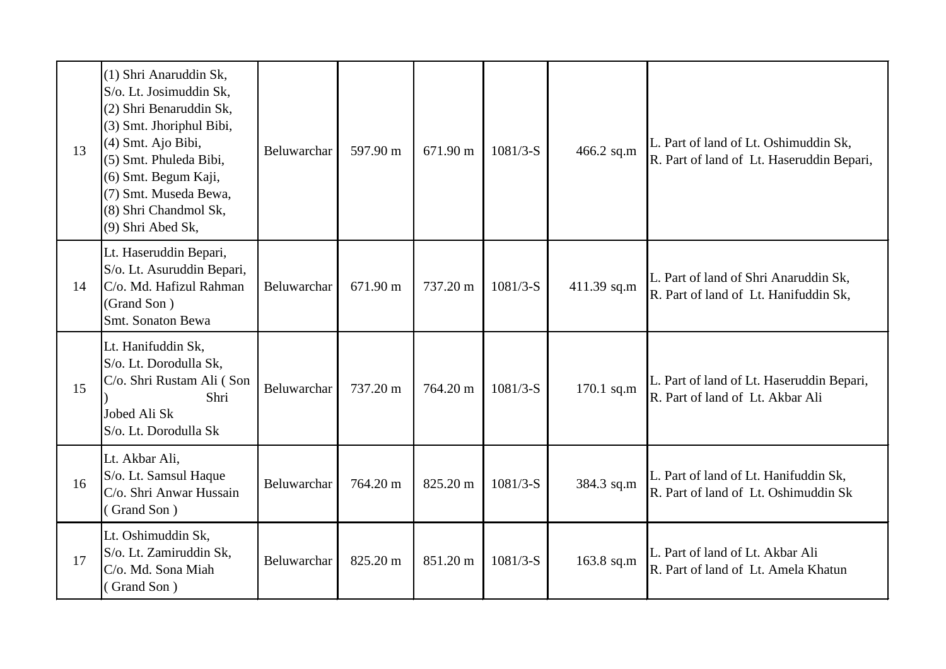| 13 | (1) Shri Anaruddin Sk,<br>S/o. Lt. Josimuddin Sk,<br>(2) Shri Benaruddin Sk,<br>(3) Smt. Jhoriphul Bibi,<br>(4) Smt. Ajo Bibi,<br>(5) Smt. Phuleda Bibi,<br>(6) Smt. Begum Kaji,<br>(7) Smt. Museda Bewa,<br>(8) Shri Chandmol Sk,<br>(9) Shri Abed Sk, | Beluwarchar | 597.90 m | 671.90 m | $1081/3-S$ | 466.2 sq.m  | L. Part of land of Lt. Oshimuddin Sk,<br>R. Part of land of Lt. Haseruddin Bepari, |
|----|---------------------------------------------------------------------------------------------------------------------------------------------------------------------------------------------------------------------------------------------------------|-------------|----------|----------|------------|-------------|------------------------------------------------------------------------------------|
| 14 | Lt. Haseruddin Bepari,<br>S/o. Lt. Asuruddin Bepari,<br>C/o. Md. Hafizul Rahman<br>(Grand Son)<br>Smt. Sonaton Bewa                                                                                                                                     | Beluwarchar | 671.90 m | 737.20 m | $1081/3-S$ | 411.39 sq.m | L. Part of land of Shri Anaruddin Sk,<br>R. Part of land of Lt. Hanifuddin Sk,     |
| 15 | Lt. Hanifuddin Sk,<br>S/o. Lt. Dorodulla Sk,<br>C/o. Shri Rustam Ali (Son<br>Shri<br>Jobed Ali Sk<br>S/o. Lt. Dorodulla Sk                                                                                                                              | Beluwarchar | 737.20 m | 764.20 m | $1081/3-S$ | 170.1 sq.m  | L. Part of land of Lt. Haseruddin Bepari,<br>R. Part of land of Lt. Akbar Ali      |
| 16 | Lt. Akbar Ali,<br>S/o. Lt. Samsul Haque<br>C/o. Shri Anwar Hussain<br>Grand Son)                                                                                                                                                                        | Beluwarchar | 764.20 m | 825.20 m | $1081/3-S$ | 384.3 sq.m  | L. Part of land of Lt. Hanifuddin Sk,<br>R. Part of land of Lt. Oshimuddin Sk      |
| 17 | Lt. Oshimuddin Sk,<br>S/o. Lt. Zamiruddin Sk,<br>C/o. Md. Sona Miah<br>Grand Son)                                                                                                                                                                       | Beluwarchar | 825.20 m | 851.20 m | $1081/3-S$ | 163.8 sq.m  | L. Part of land of Lt. Akbar Ali<br>R. Part of land of Lt. Amela Khatun            |